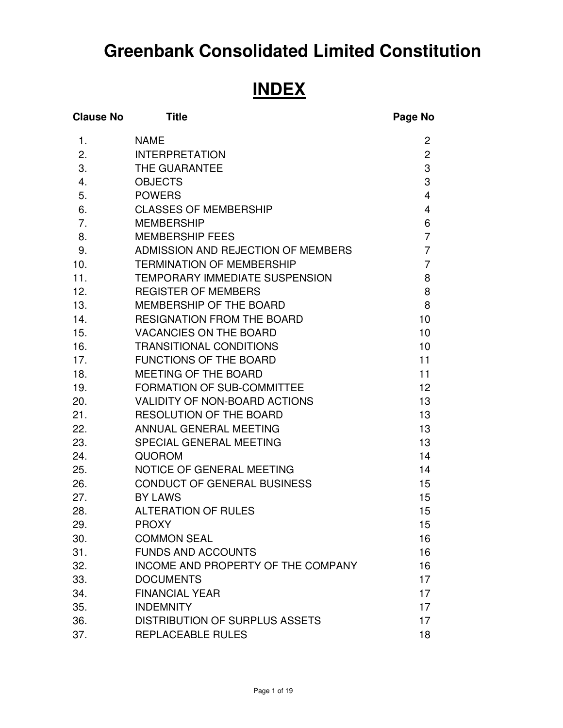# **Greenbank Consolidated Limited Constitution**  Ĭ

# **INDEX**

| <b>Clause No</b> | <b>Title</b>                          | Page No                  |
|------------------|---------------------------------------|--------------------------|
| 1.               | <b>NAME</b>                           | 2                        |
| 2.               | <b>INTERPRETATION</b>                 | $\overline{c}$           |
| 3.               | THE GUARANTEE                         | 3                        |
| 4.               | <b>OBJECTS</b>                        | 3                        |
| 5.               | <b>POWERS</b>                         | $\overline{\mathcal{A}}$ |
| 6.               | <b>CLASSES OF MEMBERSHIP</b>          | 4                        |
| 7.               | <b>MEMBERSHIP</b>                     | 6                        |
| 8.               | <b>MEMBERSHIP FEES</b>                | $\overline{7}$           |
| 9.               | ADMISSION AND REJECTION OF MEMBERS    | $\overline{7}$           |
| 10.              | <b>TERMINATION OF MEMBERSHIP</b>      | $\overline{7}$           |
| 11.              | TEMPORARY IMMEDIATE SUSPENSION        | 8                        |
| 12.              | <b>REGISTER OF MEMBERS</b>            | 8                        |
| 13.              | MEMBERSHIP OF THE BOARD               | 8                        |
| 14.              | <b>RESIGNATION FROM THE BOARD</b>     | 10                       |
| 15.              | <b>VACANCIES ON THE BOARD</b>         | 10                       |
| 16.              | <b>TRANSITIONAL CONDITIONS</b>        | 10 <sup>1</sup>          |
| 17.              | <b>FUNCTIONS OF THE BOARD</b>         | 11                       |
| 18.              | MEETING OF THE BOARD                  | 11                       |
| 19.              | FORMATION OF SUB-COMMITTEE            | 12                       |
| 20.              | VALIDITY OF NON-BOARD ACTIONS         | 13                       |
| 21.              | RESOLUTION OF THE BOARD               | 13                       |
| 22.              | ANNUAL GENERAL MEETING                | 13                       |
| 23.              | SPECIAL GENERAL MEETING               | 13                       |
| 24.              | <b>QUOROM</b>                         | 14                       |
| 25.              | <b>NOTICE OF GENERAL MEETING</b>      | 14                       |
| 26.              | CONDUCT OF GENERAL BUSINESS           | 15                       |
| 27.              | <b>BY LAWS</b>                        | 15                       |
| 28.              | <b>ALTERATION OF RULES</b>            | 15                       |
| 29.              | <b>PROXY</b>                          | 15                       |
| 30.              | <b>COMMON SEAL</b>                    | 16                       |
| 31.              | <b>FUNDS AND ACCOUNTS</b>             | 16                       |
| 32.              | INCOME AND PROPERTY OF THE COMPANY    | 16                       |
| 33.              | <b>DOCUMENTS</b>                      | 17                       |
| 34.              | <b>FINANCIAL YEAR</b>                 | 17                       |
| 35.              | <b>INDEMNITY</b>                      | 17                       |
| 36.              | <b>DISTRIBUTION OF SURPLUS ASSETS</b> | 17                       |
| 37.              | REPLACEABLE RULES                     | 18                       |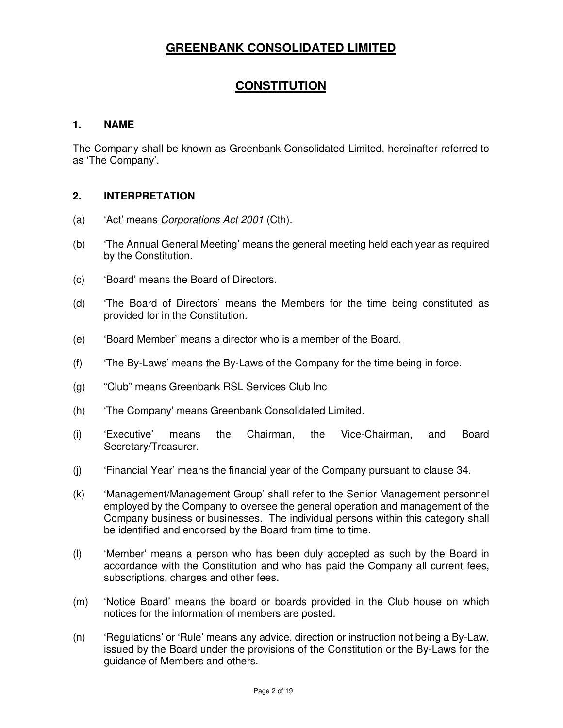# **GREENBANK CONSOLIDATED LIMITED**

# **CONSTITUTION**

#### **1. NAME**

The Company shall be known as Greenbank Consolidated Limited, hereinafter referred to as 'The Company'.

#### **2. INTERPRETATION**

- (a) 'Act' means Corporations Act 2001 (Cth).
- (b) 'The Annual General Meeting' means the general meeting held each year as required by the Constitution.
- (c) 'Board' means the Board of Directors.
- (d) 'The Board of Directors' means the Members for the time being constituted as provided for in the Constitution.
- (e) 'Board Member' means a director who is a member of the Board.
- (f) 'The By-Laws' means the By-Laws of the Company for the time being in force.
- (g) "Club" means Greenbank RSL Services Club Inc
- (h) 'The Company' means Greenbank Consolidated Limited.
- (i) 'Executive' means the Chairman, the Vice-Chairman, and Board Secretary/Treasurer.
- (j) 'Financial Year' means the financial year of the Company pursuant to clause 34.
- (k) 'Management/Management Group' shall refer to the Senior Management personnel employed by the Company to oversee the general operation and management of the Company business or businesses. The individual persons within this category shall be identified and endorsed by the Board from time to time.
- (l) 'Member' means a person who has been duly accepted as such by the Board in accordance with the Constitution and who has paid the Company all current fees, subscriptions, charges and other fees.
- (m) 'Notice Board' means the board or boards provided in the Club house on which notices for the information of members are posted.
- (n) 'Regulations' or 'Rule' means any advice, direction or instruction not being a By-Law, issued by the Board under the provisions of the Constitution or the By-Laws for the guidance of Members and others.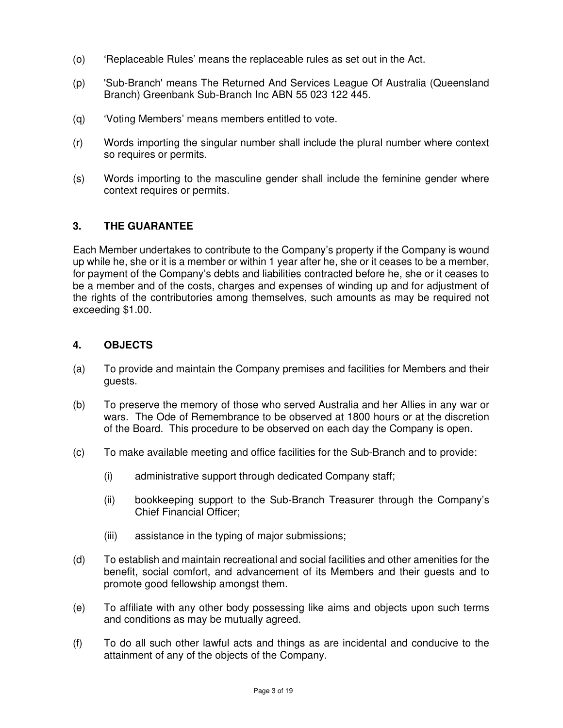- (o) 'Replaceable Rules' means the replaceable rules as set out in the Act.
- (p) 'Sub-Branch' means The Returned And Services League Of Australia (Queensland Branch) Greenbank Sub-Branch Inc ABN 55 023 122 445.
- (q) 'Voting Members' means members entitled to vote.
- (r) Words importing the singular number shall include the plural number where context so requires or permits.
- (s) Words importing to the masculine gender shall include the feminine gender where context requires or permits.

#### **3. THE GUARANTEE**

Each Member undertakes to contribute to the Company's property if the Company is wound up while he, she or it is a member or within 1 year after he, she or it ceases to be a member, for payment of the Company's debts and liabilities contracted before he, she or it ceases to be a member and of the costs, charges and expenses of winding up and for adjustment of the rights of the contributories among themselves, such amounts as may be required not exceeding \$1.00.

#### **4. OBJECTS**

- (a) To provide and maintain the Company premises and facilities for Members and their guests.
- (b) To preserve the memory of those who served Australia and her Allies in any war or wars. The Ode of Remembrance to be observed at 1800 hours or at the discretion of the Board. This procedure to be observed on each day the Company is open.
- (c) To make available meeting and office facilities for the Sub-Branch and to provide:
	- (i) administrative support through dedicated Company staff;
	- (ii) bookkeeping support to the Sub-Branch Treasurer through the Company's Chief Financial Officer;
	- (iii) assistance in the typing of major submissions;
- (d) To establish and maintain recreational and social facilities and other amenities for the benefit, social comfort, and advancement of its Members and their guests and to promote good fellowship amongst them.
- (e) To affiliate with any other body possessing like aims and objects upon such terms and conditions as may be mutually agreed.
- (f) To do all such other lawful acts and things as are incidental and conducive to the attainment of any of the objects of the Company.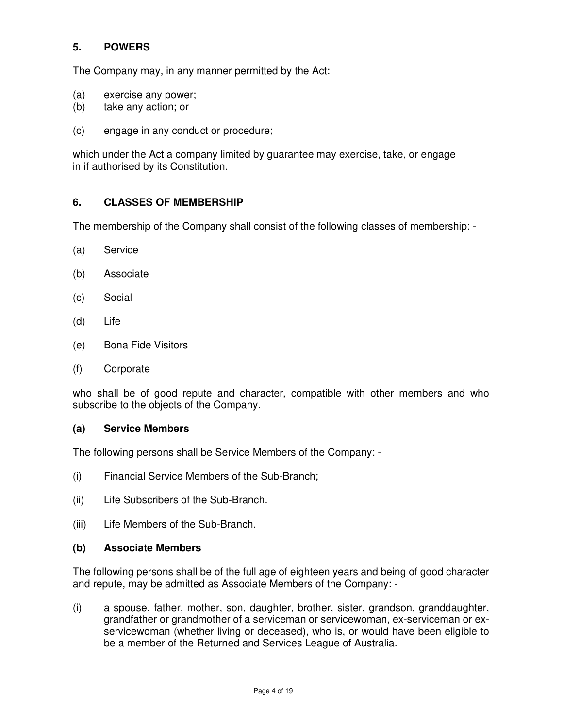# **5. POWERS**

The Company may, in any manner permitted by the Act:

- (a) exercise any power;
- (b) take any action; or
- (c) engage in any conduct or procedure;

which under the Act a company limited by guarantee may exercise, take, or engage in if authorised by its Constitution.

# **6. CLASSES OF MEMBERSHIP**

The membership of the Company shall consist of the following classes of membership: -

- (a) Service
- (b) Associate
- (c) Social
- (d) Life
- (e) Bona Fide Visitors
- (f) Corporate

who shall be of good repute and character, compatible with other members and who subscribe to the objects of the Company.

#### **(a) Service Members**

The following persons shall be Service Members of the Company: -

- (i) Financial Service Members of the Sub-Branch;
- (ii) Life Subscribers of the Sub-Branch.
- (iii) Life Members of the Sub-Branch.

#### **(b) Associate Members**

The following persons shall be of the full age of eighteen years and being of good character and repute, may be admitted as Associate Members of the Company: -

(i) a spouse, father, mother, son, daughter, brother, sister, grandson, granddaughter, grandfather or grandmother of a serviceman or servicewoman, ex-serviceman or exservicewoman (whether living or deceased), who is, or would have been eligible to be a member of the Returned and Services League of Australia.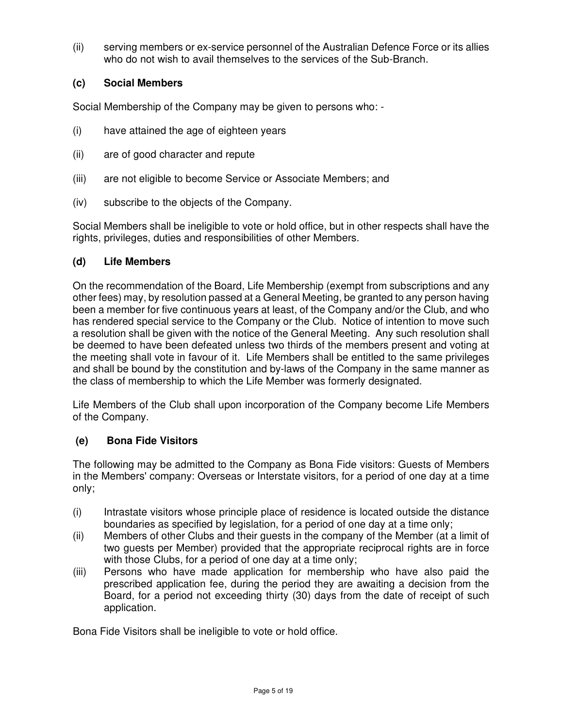(ii) serving members or ex-service personnel of the Australian Defence Force or its allies who do not wish to avail themselves to the services of the Sub-Branch.

# **(c) Social Members**

Social Membership of the Company may be given to persons who: -

- (i) have attained the age of eighteen years
- (ii) are of good character and repute
- (iii) are not eligible to become Service or Associate Members; and
- (iv) subscribe to the objects of the Company.

Social Members shall be ineligible to vote or hold office, but in other respects shall have the rights, privileges, duties and responsibilities of other Members.

#### **(d) Life Members**

On the recommendation of the Board, Life Membership (exempt from subscriptions and any other fees) may, by resolution passed at a General Meeting, be granted to any person having been a member for five continuous years at least, of the Company and/or the Club, and who has rendered special service to the Company or the Club. Notice of intention to move such a resolution shall be given with the notice of the General Meeting. Any such resolution shall be deemed to have been defeated unless two thirds of the members present and voting at the meeting shall vote in favour of it. Life Members shall be entitled to the same privileges and shall be bound by the constitution and by-laws of the Company in the same manner as the class of membership to which the Life Member was formerly designated.

Life Members of the Club shall upon incorporation of the Company become Life Members of the Company.

# **(e) Bona Fide Visitors**

The following may be admitted to the Company as Bona Fide visitors: Guests of Members in the Members' company: Overseas or Interstate visitors, for a period of one day at a time only;

- (i) Intrastate visitors whose principle place of residence is located outside the distance boundaries as specified by legislation, for a period of one day at a time only;
- (ii) Members of other Clubs and their guests in the company of the Member (at a limit of two guests per Member) provided that the appropriate reciprocal rights are in force with those Clubs, for a period of one day at a time only;
- (iii) Persons who have made application for membership who have also paid the prescribed application fee, during the period they are awaiting a decision from the Board, for a period not exceeding thirty (30) days from the date of receipt of such application.

Bona Fide Visitors shall be ineligible to vote or hold office.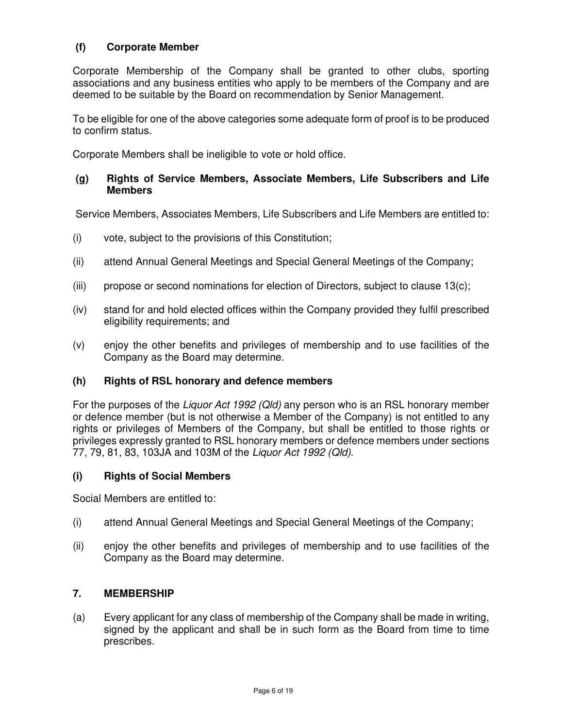## **(f) Corporate Member**

Corporate Membership of the Company shall be granted to other clubs, sporting associations and any business entities who apply to be members of the Company and are deemed to be suitable by the Board on recommendation by Senior Management.

To be eligible for one of the above categories some adequate form of proof is to be produced to confirm status.

Corporate Members shall be ineligible to vote or hold office.

#### **(g) Rights of Service Members, Associate Members, Life Subscribers and Life Members**

Service Members, Associates Members, Life Subscribers and Life Members are entitled to:

- (i) vote, subject to the provisions of this Constitution;
- (ii) attend Annual General Meetings and Special General Meetings of the Company;
- (iii) propose or second nominations for election of Directors, subject to clause  $13(c)$ ;
- (iv) stand for and hold elected offices within the Company provided they fulfil prescribed eligibility requirements; and
- (v) enjoy the other benefits and privileges of membership and to use facilities of the Company as the Board may determine.

#### **(h) Rights of RSL honorary and defence members**

For the purposes of the Liquor Act 1992 (Qld) any person who is an RSL honorary member or defence member (but is not otherwise a Member of the Company) is not entitled to any rights or privileges of Members of the Company, but shall be entitled to those rights or privileges expressly granted to RSL honorary members or defence members under sections 77, 79, 81, 83, 103JA and 103M of the Liquor Act 1992 (Qld).

#### **(i) Rights of Social Members**

Social Members are entitled to:

- (i) attend Annual General Meetings and Special General Meetings of the Company;
- (ii) enjoy the other benefits and privileges of membership and to use facilities of the Company as the Board may determine.

#### **7. MEMBERSHIP**

(a) Every applicant for any class of membership of the Company shall be made in writing, signed by the applicant and shall be in such form as the Board from time to time prescribes.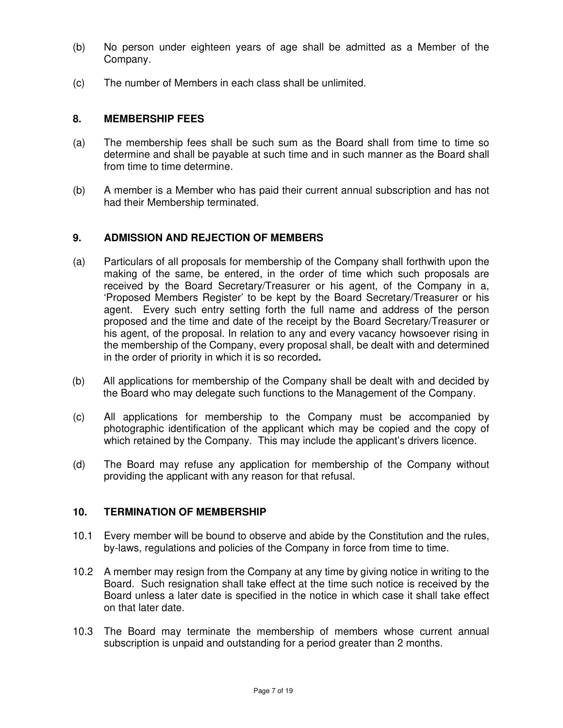- (b) No person under eighteen years of age shall be admitted as a Member of the Company.
- (c) The number of Members in each class shall be unlimited.

#### **8. MEMBERSHIP FEES**

- (a) The membership fees shall be such sum as the Board shall from time to time so determine and shall be payable at such time and in such manner as the Board shall from time to time determine.
- (b) A member is a Member who has paid their current annual subscription and has not had their Membership terminated.

#### **9. ADMISSION AND REJECTION OF MEMBERS**

- (a) Particulars of all proposals for membership of the Company shall forthwith upon the making of the same, be entered, in the order of time which such proposals are received by the Board Secretary/Treasurer or his agent, of the Company in a, 'Proposed Members Register' to be kept by the Board Secretary/Treasurer or his agent. Every such entry setting forth the full name and address of the person proposed and the time and date of the receipt by the Board Secretary/Treasurer or his agent, of the proposal. In relation to any and every vacancy howsoever rising in the membership of the Company, every proposal shall, be dealt with and determined in the order of priority in which it is so recorded**.**
- (b) All applications for membership of the Company shall be dealt with and decided by the Board who may delegate such functions to the Management of the Company.
- (c) All applications for membership to the Company must be accompanied by photographic identification of the applicant which may be copied and the copy of which retained by the Company. This may include the applicant's drivers licence.
- (d) The Board may refuse any application for membership of the Company without providing the applicant with any reason for that refusal.

#### **10. TERMINATION OF MEMBERSHIP**

- 10.1 Every member will be bound to observe and abide by the Constitution and the rules, by-laws, regulations and policies of the Company in force from time to time.
- 10.2 A member may resign from the Company at any time by giving notice in writing to the Board. Such resignation shall take effect at the time such notice is received by the Board unless a later date is specified in the notice in which case it shall take effect on that later date.
- 10.3 The Board may terminate the membership of members whose current annual subscription is unpaid and outstanding for a period greater than 2 months.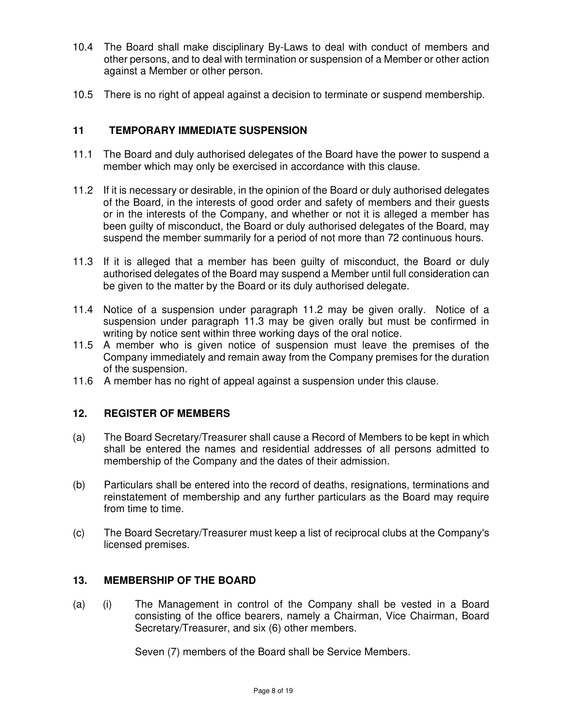- 10.4 The Board shall make disciplinary By-Laws to deal with conduct of members and other persons, and to deal with termination or suspension of a Member or other action against a Member or other person.
- 10.5 There is no right of appeal against a decision to terminate or suspend membership.

## **11 TEMPORARY IMMEDIATE SUSPENSION**

- 11.1 The Board and duly authorised delegates of the Board have the power to suspend a member which may only be exercised in accordance with this clause.
- 11.2 If it is necessary or desirable, in the opinion of the Board or duly authorised delegates of the Board, in the interests of good order and safety of members and their guests or in the interests of the Company, and whether or not it is alleged a member has been guilty of misconduct, the Board or duly authorised delegates of the Board, may suspend the member summarily for a period of not more than 72 continuous hours.
- 11.3 If it is alleged that a member has been guilty of misconduct, the Board or duly authorised delegates of the Board may suspend a Member until full consideration can be given to the matter by the Board or its duly authorised delegate.
- 11.4 Notice of a suspension under paragraph 11.2 may be given orally. Notice of a suspension under paragraph 11.3 may be given orally but must be confirmed in writing by notice sent within three working days of the oral notice.
- 11.5 A member who is given notice of suspension must leave the premises of the Company immediately and remain away from the Company premises for the duration of the suspension.
- 11.6 A member has no right of appeal against a suspension under this clause.

#### **12. REGISTER OF MEMBERS**

- (a) The Board Secretary/Treasurer shall cause a Record of Members to be kept in which shall be entered the names and residential addresses of all persons admitted to membership of the Company and the dates of their admission.
- (b) Particulars shall be entered into the record of deaths, resignations, terminations and reinstatement of membership and any further particulars as the Board may require from time to time.
- (c) The Board Secretary/Treasurer must keep a list of reciprocal clubs at the Company's licensed premises.

#### **13. MEMBERSHIP OF THE BOARD**

(a) (i) The Management in control of the Company shall be vested in a Board consisting of the office bearers, namely a Chairman, Vice Chairman, Board Secretary/Treasurer, and six (6) other members.

Seven (7) members of the Board shall be Service Members.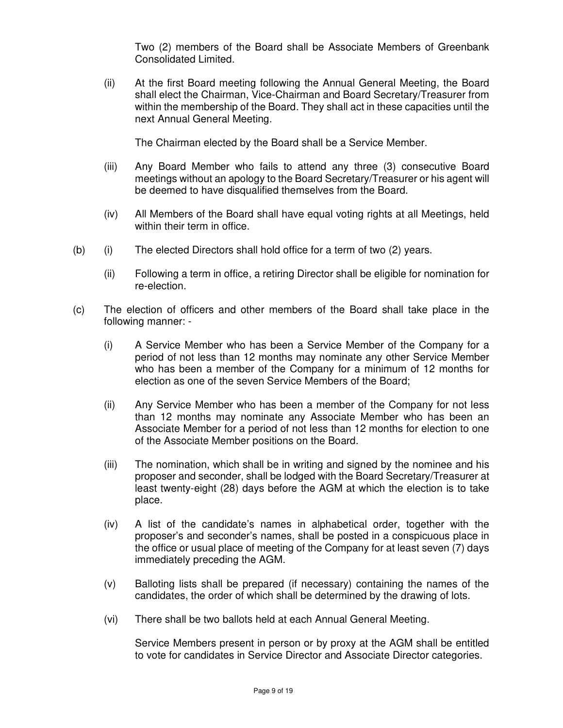Two (2) members of the Board shall be Associate Members of Greenbank Consolidated Limited.

(ii) At the first Board meeting following the Annual General Meeting, the Board shall elect the Chairman, Vice-Chairman and Board Secretary/Treasurer from within the membership of the Board. They shall act in these capacities until the next Annual General Meeting.

The Chairman elected by the Board shall be a Service Member.

- (iii) Any Board Member who fails to attend any three (3) consecutive Board meetings without an apology to the Board Secretary/Treasurer or his agent will be deemed to have disqualified themselves from the Board.
- (iv) All Members of the Board shall have equal voting rights at all Meetings, held within their term in office.
- (b) (i) The elected Directors shall hold office for a term of two (2) years.
	- (ii) Following a term in office, a retiring Director shall be eligible for nomination for re-election.
- (c) The election of officers and other members of the Board shall take place in the following manner: -
	- (i) A Service Member who has been a Service Member of the Company for a period of not less than 12 months may nominate any other Service Member who has been a member of the Company for a minimum of 12 months for election as one of the seven Service Members of the Board;
	- (ii) Any Service Member who has been a member of the Company for not less than 12 months may nominate any Associate Member who has been an Associate Member for a period of not less than 12 months for election to one of the Associate Member positions on the Board.
	- (iii) The nomination, which shall be in writing and signed by the nominee and his proposer and seconder, shall be lodged with the Board Secretary/Treasurer at least twenty-eight (28) days before the AGM at which the election is to take place.
	- (iv) A list of the candidate's names in alphabetical order, together with the proposer's and seconder's names, shall be posted in a conspicuous place in the office or usual place of meeting of the Company for at least seven (7) days immediately preceding the AGM.
	- (v) Balloting lists shall be prepared (if necessary) containing the names of the candidates, the order of which shall be determined by the drawing of lots.
	- (vi) There shall be two ballots held at each Annual General Meeting.

Service Members present in person or by proxy at the AGM shall be entitled to vote for candidates in Service Director and Associate Director categories.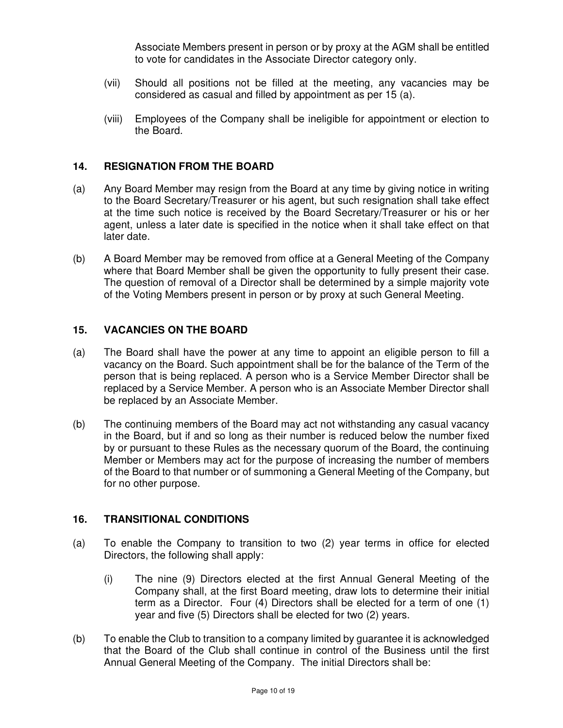Associate Members present in person or by proxy at the AGM shall be entitled to vote for candidates in the Associate Director category only.

- (vii) Should all positions not be filled at the meeting, any vacancies may be considered as casual and filled by appointment as per 15 (a).
- (viii) Employees of the Company shall be ineligible for appointment or election to the Board.

#### **14. RESIGNATION FROM THE BOARD**

- (a) Any Board Member may resign from the Board at any time by giving notice in writing to the Board Secretary/Treasurer or his agent, but such resignation shall take effect at the time such notice is received by the Board Secretary/Treasurer or his or her agent, unless a later date is specified in the notice when it shall take effect on that later date.
- (b) A Board Member may be removed from office at a General Meeting of the Company where that Board Member shall be given the opportunity to fully present their case. The question of removal of a Director shall be determined by a simple majority vote of the Voting Members present in person or by proxy at such General Meeting.

#### **15. VACANCIES ON THE BOARD**

- (a) The Board shall have the power at any time to appoint an eligible person to fill a vacancy on the Board. Such appointment shall be for the balance of the Term of the person that is being replaced. A person who is a Service Member Director shall be replaced by a Service Member. A person who is an Associate Member Director shall be replaced by an Associate Member.
- (b) The continuing members of the Board may act not withstanding any casual vacancy in the Board, but if and so long as their number is reduced below the number fixed by or pursuant to these Rules as the necessary quorum of the Board, the continuing Member or Members may act for the purpose of increasing the number of members of the Board to that number or of summoning a General Meeting of the Company, but for no other purpose.

#### **16. TRANSITIONAL CONDITIONS**

- (a) To enable the Company to transition to two (2) year terms in office for elected Directors, the following shall apply:
	- (i) The nine (9) Directors elected at the first Annual General Meeting of the Company shall, at the first Board meeting, draw lots to determine their initial term as a Director. Four (4) Directors shall be elected for a term of one (1) year and five (5) Directors shall be elected for two (2) years.
- (b) To enable the Club to transition to a company limited by guarantee it is acknowledged that the Board of the Club shall continue in control of the Business until the first Annual General Meeting of the Company. The initial Directors shall be: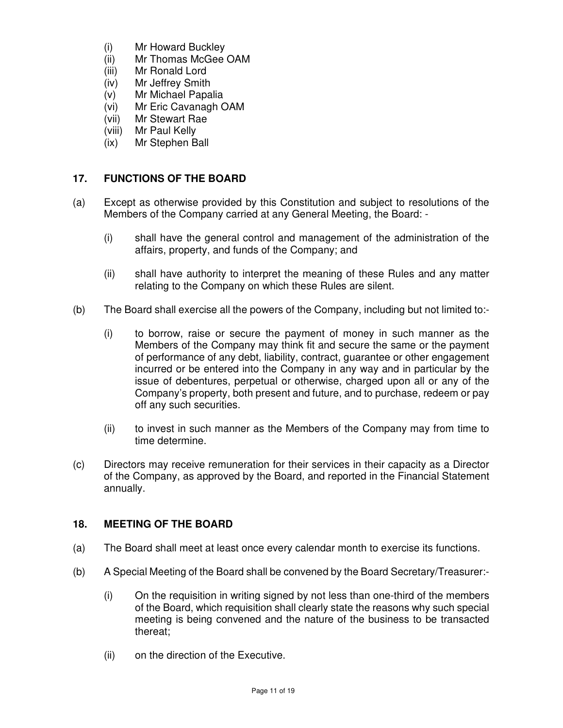- (i) Mr Howard Buckley
- (ii) Mr Thomas McGee OAM
- (iii) Mr Ronald Lord
- (iv) Mr Jeffrey Smith
- (v) Mr Michael Papalia
- (vi) Mr Eric Cavanagh OAM
- (vii) Mr Stewart Rae
- (viii) Mr Paul Kelly
- (ix) Mr Stephen Ball

## **17. FUNCTIONS OF THE BOARD**

- (a) Except as otherwise provided by this Constitution and subject to resolutions of the Members of the Company carried at any General Meeting, the Board: -
	- (i) shall have the general control and management of the administration of the affairs, property, and funds of the Company; and
	- (ii) shall have authority to interpret the meaning of these Rules and any matter relating to the Company on which these Rules are silent.
- (b) The Board shall exercise all the powers of the Company, including but not limited to:-
	- (i) to borrow, raise or secure the payment of money in such manner as the Members of the Company may think fit and secure the same or the payment of performance of any debt, liability, contract, guarantee or other engagement incurred or be entered into the Company in any way and in particular by the issue of debentures, perpetual or otherwise, charged upon all or any of the Company's property, both present and future, and to purchase, redeem or pay off any such securities.
	- (ii) to invest in such manner as the Members of the Company may from time to time determine.
- (c) Directors may receive remuneration for their services in their capacity as a Director of the Company, as approved by the Board, and reported in the Financial Statement annually.

#### **18. MEETING OF THE BOARD**

- (a) The Board shall meet at least once every calendar month to exercise its functions.
- (b) A Special Meeting of the Board shall be convened by the Board Secretary/Treasurer:-
	- (i) On the requisition in writing signed by not less than one-third of the members of the Board, which requisition shall clearly state the reasons why such special meeting is being convened and the nature of the business to be transacted thereat;
	- (ii) on the direction of the Executive.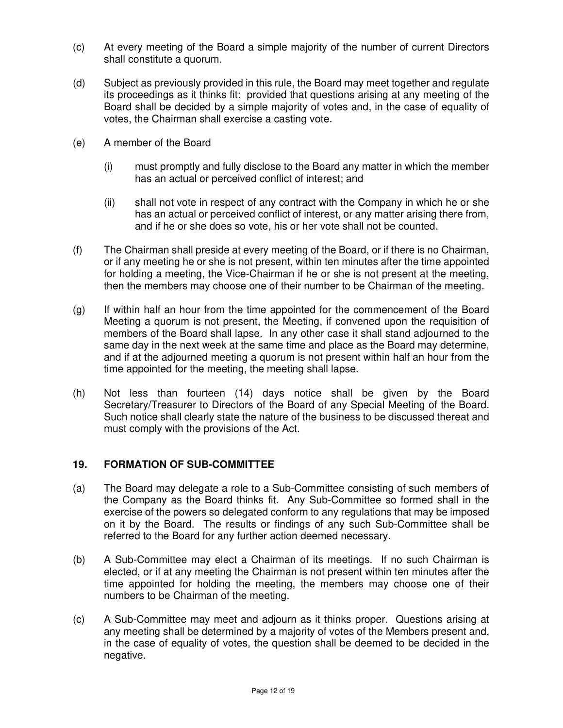- (c) At every meeting of the Board a simple majority of the number of current Directors shall constitute a quorum.
- (d) Subject as previously provided in this rule, the Board may meet together and regulate its proceedings as it thinks fit: provided that questions arising at any meeting of the Board shall be decided by a simple majority of votes and, in the case of equality of votes, the Chairman shall exercise a casting vote.
- (e) A member of the Board
	- (i) must promptly and fully disclose to the Board any matter in which the member has an actual or perceived conflict of interest; and
	- (ii) shall not vote in respect of any contract with the Company in which he or she has an actual or perceived conflict of interest, or any matter arising there from, and if he or she does so vote, his or her vote shall not be counted.
- (f) The Chairman shall preside at every meeting of the Board, or if there is no Chairman, or if any meeting he or she is not present, within ten minutes after the time appointed for holding a meeting, the Vice-Chairman if he or she is not present at the meeting, then the members may choose one of their number to be Chairman of the meeting.
- (g) If within half an hour from the time appointed for the commencement of the Board Meeting a quorum is not present, the Meeting, if convened upon the requisition of members of the Board shall lapse. In any other case it shall stand adjourned to the same day in the next week at the same time and place as the Board may determine, and if at the adjourned meeting a quorum is not present within half an hour from the time appointed for the meeting, the meeting shall lapse.
- (h) Not less than fourteen (14) days notice shall be given by the Board Secretary/Treasurer to Directors of the Board of any Special Meeting of the Board. Such notice shall clearly state the nature of the business to be discussed thereat and must comply with the provisions of the Act.

#### **19. FORMATION OF SUB-COMMITTEE**

- (a) The Board may delegate a role to a Sub-Committee consisting of such members of the Company as the Board thinks fit. Any Sub-Committee so formed shall in the exercise of the powers so delegated conform to any regulations that may be imposed on it by the Board. The results or findings of any such Sub-Committee shall be referred to the Board for any further action deemed necessary.
- (b) A Sub-Committee may elect a Chairman of its meetings. If no such Chairman is elected, or if at any meeting the Chairman is not present within ten minutes after the time appointed for holding the meeting, the members may choose one of their numbers to be Chairman of the meeting.
- (c) A Sub-Committee may meet and adjourn as it thinks proper. Questions arising at any meeting shall be determined by a majority of votes of the Members present and, in the case of equality of votes, the question shall be deemed to be decided in the negative.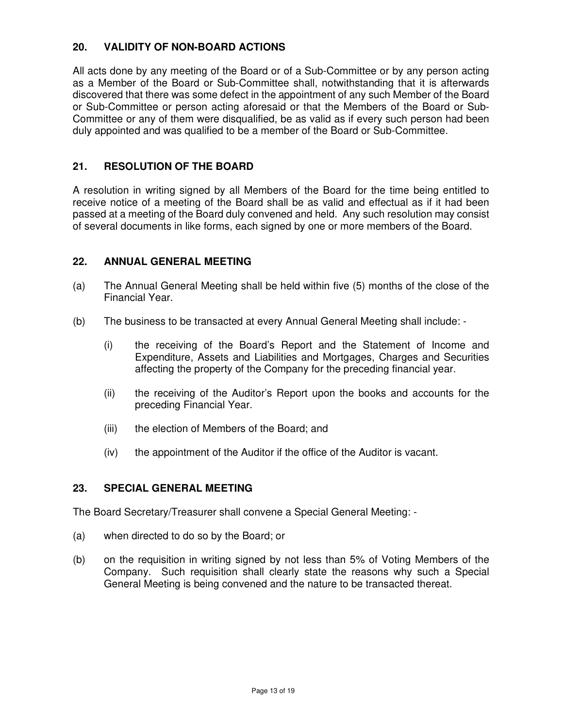## **20. VALIDITY OF NON-BOARD ACTIONS**

All acts done by any meeting of the Board or of a Sub-Committee or by any person acting as a Member of the Board or Sub-Committee shall, notwithstanding that it is afterwards discovered that there was some defect in the appointment of any such Member of the Board or Sub-Committee or person acting aforesaid or that the Members of the Board or Sub-Committee or any of them were disqualified, be as valid as if every such person had been duly appointed and was qualified to be a member of the Board or Sub-Committee.

#### **21. RESOLUTION OF THE BOARD**

A resolution in writing signed by all Members of the Board for the time being entitled to receive notice of a meeting of the Board shall be as valid and effectual as if it had been passed at a meeting of the Board duly convened and held. Any such resolution may consist of several documents in like forms, each signed by one or more members of the Board.

#### **22. ANNUAL GENERAL MEETING**

- (a) The Annual General Meeting shall be held within five (5) months of the close of the Financial Year.
- (b) The business to be transacted at every Annual General Meeting shall include:
	- (i) the receiving of the Board's Report and the Statement of Income and Expenditure, Assets and Liabilities and Mortgages, Charges and Securities affecting the property of the Company for the preceding financial year.
	- (ii) the receiving of the Auditor's Report upon the books and accounts for the preceding Financial Year.
	- (iii) the election of Members of the Board; and
	- (iv) the appointment of the Auditor if the office of the Auditor is vacant.

#### **23. SPECIAL GENERAL MEETING**

The Board Secretary/Treasurer shall convene a Special General Meeting: -

- (a) when directed to do so by the Board; or
- (b) on the requisition in writing signed by not less than 5% of Voting Members of the Company. Such requisition shall clearly state the reasons why such a Special General Meeting is being convened and the nature to be transacted thereat.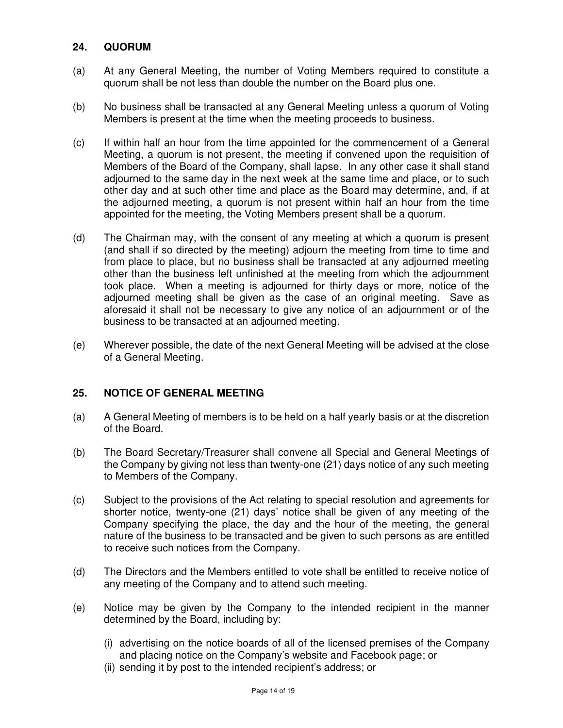#### **24. QUORUM**

- (a) At any General Meeting, the number of Voting Members required to constitute a quorum shall be not less than double the number on the Board plus one.
- (b) No business shall be transacted at any General Meeting unless a quorum of Voting Members is present at the time when the meeting proceeds to business.
- (c) If within half an hour from the time appointed for the commencement of a General Meeting, a quorum is not present, the meeting if convened upon the requisition of Members of the Board of the Company, shall lapse. In any other case it shall stand adjourned to the same day in the next week at the same time and place, or to such other day and at such other time and place as the Board may determine, and, if at the adjourned meeting, a quorum is not present within half an hour from the time appointed for the meeting, the Voting Members present shall be a quorum.
- (d) The Chairman may, with the consent of any meeting at which a quorum is present (and shall if so directed by the meeting) adjourn the meeting from time to time and from place to place, but no business shall be transacted at any adjourned meeting other than the business left unfinished at the meeting from which the adjournment took place. When a meeting is adjourned for thirty days or more, notice of the adjourned meeting shall be given as the case of an original meeting. Save as aforesaid it shall not be necessary to give any notice of an adjournment or of the business to be transacted at an adjourned meeting.
- (e) Wherever possible, the date of the next General Meeting will be advised at the close of a General Meeting.

#### **25. NOTICE OF GENERAL MEETING**

- (a) A General Meeting of members is to be held on a half yearly basis or at the discretion of the Board.
- (b) The Board Secretary/Treasurer shall convene all Special and General Meetings of the Company by giving not less than twenty-one (21) days notice of any such meeting to Members of the Company.
- (c) Subject to the provisions of the Act relating to special resolution and agreements for shorter notice, twenty-one (21) days' notice shall be given of any meeting of the Company specifying the place, the day and the hour of the meeting, the general nature of the business to be transacted and be given to such persons as are entitled to receive such notices from the Company.
- (d) The Directors and the Members entitled to vote shall be entitled to receive notice of any meeting of the Company and to attend such meeting.
- (e) Notice may be given by the Company to the intended recipient in the manner determined by the Board, including by:
	- (i) advertising on the notice boards of all of the licensed premises of the Company and placing notice on the Company's website and Facebook page; or
	- (ii) sending it by post to the intended recipient's address; or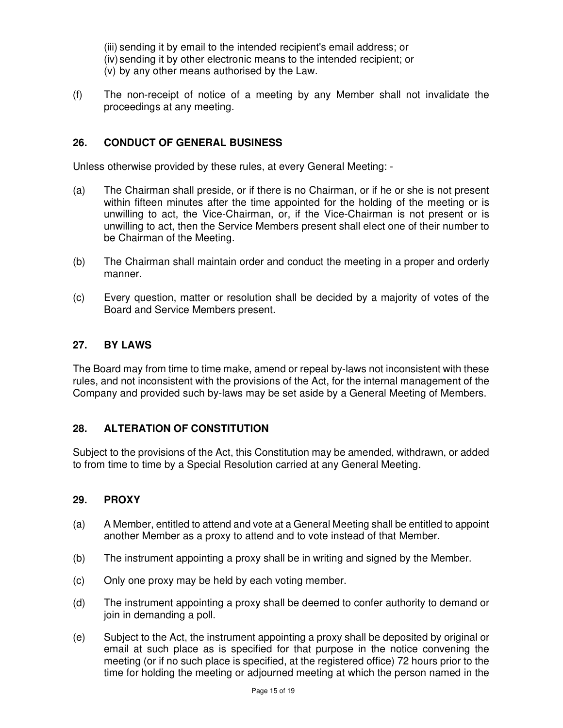(iii) sending it by email to the intended recipient's email address; or (iv) sending it by other electronic means to the intended recipient; or (v) by any other means authorised by the Law.

(f) The non-receipt of notice of a meeting by any Member shall not invalidate the proceedings at any meeting.

#### **26. CONDUCT OF GENERAL BUSINESS**

Unless otherwise provided by these rules, at every General Meeting: -

- (a) The Chairman shall preside, or if there is no Chairman, or if he or she is not present within fifteen minutes after the time appointed for the holding of the meeting or is unwilling to act, the Vice-Chairman, or, if the Vice-Chairman is not present or is unwilling to act, then the Service Members present shall elect one of their number to be Chairman of the Meeting.
- (b) The Chairman shall maintain order and conduct the meeting in a proper and orderly manner.
- (c) Every question, matter or resolution shall be decided by a majority of votes of the Board and Service Members present.

#### **27. BY LAWS**

The Board may from time to time make, amend or repeal by-laws not inconsistent with these rules, and not inconsistent with the provisions of the Act, for the internal management of the Company and provided such by-laws may be set aside by a General Meeting of Members.

#### **28. ALTERATION OF CONSTITUTION**

Subject to the provisions of the Act, this Constitution may be amended, withdrawn, or added to from time to time by a Special Resolution carried at any General Meeting.

#### **29. PROXY**

- (a) A Member, entitled to attend and vote at a General Meeting shall be entitled to appoint another Member as a proxy to attend and to vote instead of that Member.
- (b) The instrument appointing a proxy shall be in writing and signed by the Member.
- (c) Only one proxy may be held by each voting member.
- (d) The instrument appointing a proxy shall be deemed to confer authority to demand or join in demanding a poll.
- (e) Subject to the Act, the instrument appointing a proxy shall be deposited by original or email at such place as is specified for that purpose in the notice convening the meeting (or if no such place is specified, at the registered office) 72 hours prior to the time for holding the meeting or adjourned meeting at which the person named in the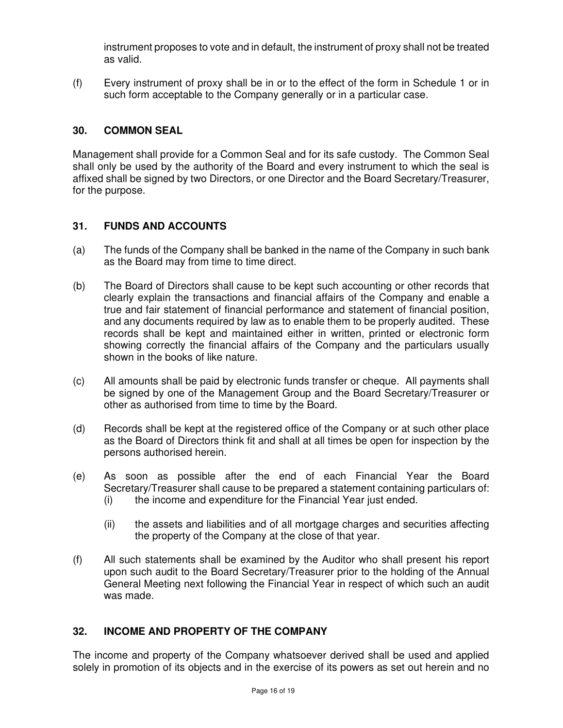instrument proposes to vote and in default, the instrument of proxy shall not be treated as valid.

(f) Every instrument of proxy shall be in or to the effect of the form in Schedule 1 or in such form acceptable to the Company generally or in a particular case.

#### **30. COMMON SEAL**

Management shall provide for a Common Seal and for its safe custody. The Common Seal shall only be used by the authority of the Board and every instrument to which the seal is affixed shall be signed by two Directors, or one Director and the Board Secretary/Treasurer, for the purpose.

#### **31. FUNDS AND ACCOUNTS**

- (a) The funds of the Company shall be banked in the name of the Company in such bank as the Board may from time to time direct.
- (b) The Board of Directors shall cause to be kept such accounting or other records that clearly explain the transactions and financial affairs of the Company and enable a true and fair statement of financial performance and statement of financial position, and any documents required by law as to enable them to be properly audited. These records shall be kept and maintained either in written, printed or electronic form showing correctly the financial affairs of the Company and the particulars usually shown in the books of like nature.
- (c) All amounts shall be paid by electronic funds transfer or cheque. All payments shall be signed by one of the Management Group and the Board Secretary/Treasurer or other as authorised from time to time by the Board.
- (d) Records shall be kept at the registered office of the Company or at such other place as the Board of Directors think fit and shall at all times be open for inspection by the persons authorised herein.
- (e) As soon as possible after the end of each Financial Year the Board Secretary/Treasurer shall cause to be prepared a statement containing particulars of: (i) the income and expenditure for the Financial Year just ended.
	- (ii) the assets and liabilities and of all mortgage charges and securities affecting the property of the Company at the close of that year.
- (f) All such statements shall be examined by the Auditor who shall present his report upon such audit to the Board Secretary/Treasurer prior to the holding of the Annual General Meeting next following the Financial Year in respect of which such an audit was made.

#### **32. INCOME AND PROPERTY OF THE COMPANY**

The income and property of the Company whatsoever derived shall be used and applied solely in promotion of its objects and in the exercise of its powers as set out herein and no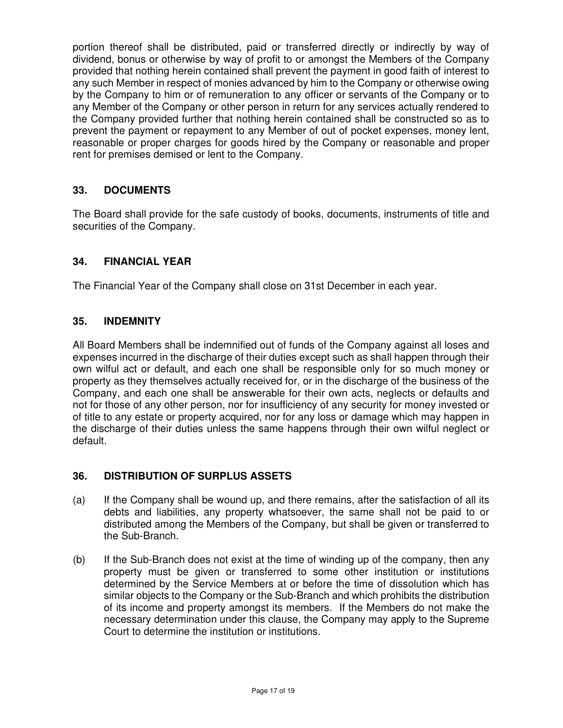portion thereof shall be distributed, paid or transferred directly or indirectly by way of dividend, bonus or otherwise by way of profit to or amongst the Members of the Company provided that nothing herein contained shall prevent the payment in good faith of interest to any such Member in respect of monies advanced by him to the Company or otherwise owing by the Company to him or of remuneration to any officer or servants of the Company or to any Member of the Company or other person in return for any services actually rendered to the Company provided further that nothing herein contained shall be constructed so as to prevent the payment or repayment to any Member of out of pocket expenses, money lent, reasonable or proper charges for goods hired by the Company or reasonable and proper rent for premises demised or lent to the Company.

# **33. DOCUMENTS**

The Board shall provide for the safe custody of books, documents, instruments of title and securities of the Company.

# **34. FINANCIAL YEAR**

The Financial Year of the Company shall close on 31st December in each year.

#### **35. INDEMNITY**

All Board Members shall be indemnified out of funds of the Company against all loses and expenses incurred in the discharge of their duties except such as shall happen through their own wilful act or default, and each one shall be responsible only for so much money or property as they themselves actually received for, or in the discharge of the business of the Company, and each one shall be answerable for their own acts, neglects or defaults and not for those of any other person, nor for insufficiency of any security for money invested or of title to any estate or property acquired, nor for any loss or damage which may happen in the discharge of their duties unless the same happens through their own wilful neglect or default.

#### **36. DISTRIBUTION OF SURPLUS ASSETS**

- (a) If the Company shall be wound up, and there remains, after the satisfaction of all its debts and liabilities, any property whatsoever, the same shall not be paid to or distributed among the Members of the Company, but shall be given or transferred to the Sub-Branch.
- (b) If the Sub-Branch does not exist at the time of winding up of the company, then any property must be given or transferred to some other institution or institutions determined by the Service Members at or before the time of dissolution which has similar objects to the Company or the Sub-Branch and which prohibits the distribution of its income and property amongst its members. If the Members do not make the necessary determination under this clause, the Company may apply to the Supreme Court to determine the institution or institutions.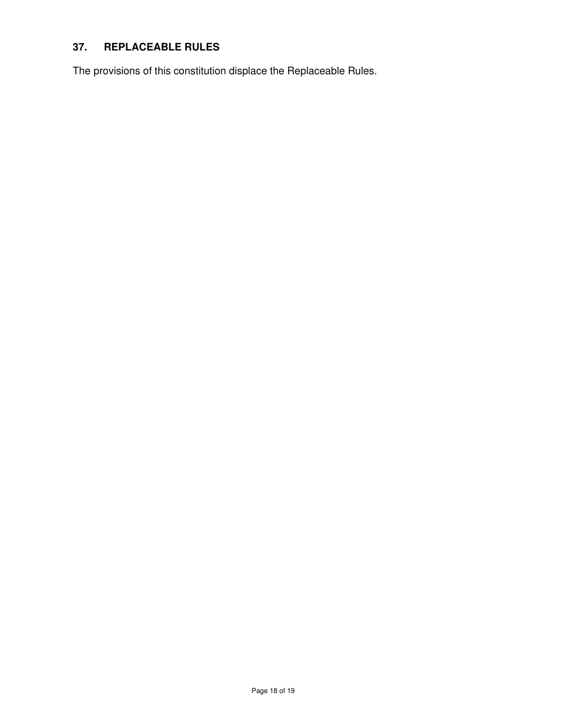# **37. REPLACEABLE RULES**

The provisions of this constitution displace the Replaceable Rules.